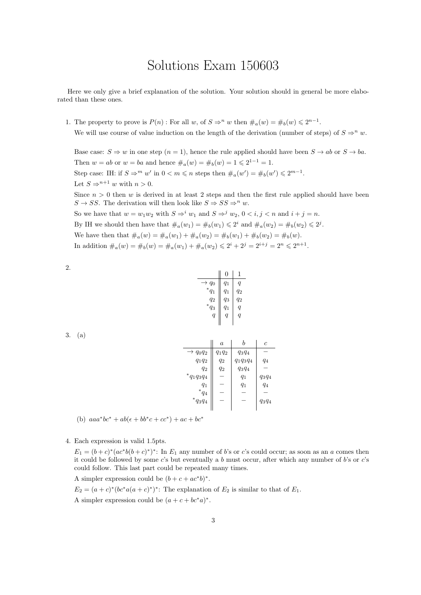## Solutions Exam 150603

Here we only give a brief explanation of the solution. Your solution should in general be more elaborated than these ones.

1. The property to prove is  $P(n)$ : For all *w*, of  $S \Rightarrow^n w$  then  $\#_a(w) = \#_b(w) \leq 2^{n-1}$ . We will use course of value induction on the length of the derivation (number of steps) of  $S \Rightarrow^n w$ .

Base case:  $S \Rightarrow w$  in one step  $(n = 1)$ , hence the rule applied should have been  $S \rightarrow ab$  or  $S \rightarrow ba$ . Then  $w = ab$  or  $w = ba$  and hence  $\#_a(w) = \#_b(w) = 1 \leq 2^{1-1} = 1$ . Step case: IH: if  $S \Rightarrow^m w'$  in  $0 < m \le n$  steps then  $\#_a(w') = \#_b(w') \le 2^{m-1}$ . Let  $S \Rightarrow^{n+1} w$  with  $n > 0$ . Since  $n > 0$  then *w* is derived in at least 2 steps and then the first rule applied should have been  $S \rightarrow SS$ . The derivation will then look like  $S \rightarrow SS \rightarrow^n w$ . So we have that  $w = w_1 w_2$  with  $S \Rightarrow^i w_1$  and  $S \Rightarrow^j w_2$ ,  $0 < i, j < n$  and  $i + j = n$ . By IH we should then have that  $\#_a(w_1) = \#_b(w_1) \leq 2^i$  and  $\#_a(w_2) = \#_b(w_2) \leq 2^j$ . We have then that  $\#_a(w) = \#_a(w_1) + \#_a(w_2) = \#_b(w_1) + \#_b(w_2) = \#_b(w)$ . In addition  $\#_a(w) = \#_b(w) = \#_a(w_1) + \#_a(w_2) \leq 2^i + 2^j = 2^{i+j} = 2^n \leq 2^{n+1}$ .

2.

|                        | 0              | 1                |
|------------------------|----------------|------------------|
| $q_0$<br>$\rightarrow$ | $q_1$          | q                |
| $\overline{q}_1$       | $q_1$          | $q_2$            |
| $q_2$                  | $q_3$          | $q_2$            |
| $q_3$                  | $q_1$          | $\boldsymbol{q}$ |
| $\overline{q}$         | $\overline{q}$ | $\boldsymbol{q}$ |
|                        |                |                  |

| ×<br>i |  |
|--------|--|
|        |  |

|                     | $\boldsymbol{a}$ | h           | $\mathfrak c$ |
|---------------------|------------------|-------------|---------------|
| $\rightarrow$ 9092  | $q_1q_2$         | $q_3q_4$    |               |
| $q_1q_2$            | $q_2$            | $q_1q_3q_4$ | q4            |
| $q_2$               | $q_2$            | $q_3q_4$    |               |
| $^{\ast}q_1q_3q_4$  |                  | $q_1$       | $q_3q_4$      |
| $q_1$               |                  | $q_1$       | $q_4$         |
| $*_{q_4}$           |                  |             |               |
| $^{\ast}q_{3}q_{4}$ |                  |             | $q_3q_4$      |
|                     |                  |             |               |

(b)  $aaa^*bc^* + ab(\epsilon + bb^*c + cc^*) + ac + bc^*$ 

4. Each expression is valid 1.5pts.

 $E_1 = (b+c)^*(ac^*b(b+c)^*)$ <sup>\*</sup>: In  $E_1$  any number of *b*'s or *c*'s could occur; as soon as an *a* comes then it could be followed by some *c*'s but eventually a *b* must occur, after which any number of *b*'s or *c*'s could follow. This last part could be repeated many times.

A simpler expression could be  $(b + c + ac^*b)^*$ .

 $E_2 = (a+c)^*(bc^*a(a+c)^*)^*$ : The explanation of  $E_2$  is similar to that of  $E_1$ .

A simpler expression could be  $(a + c + bc^*a)^*$ .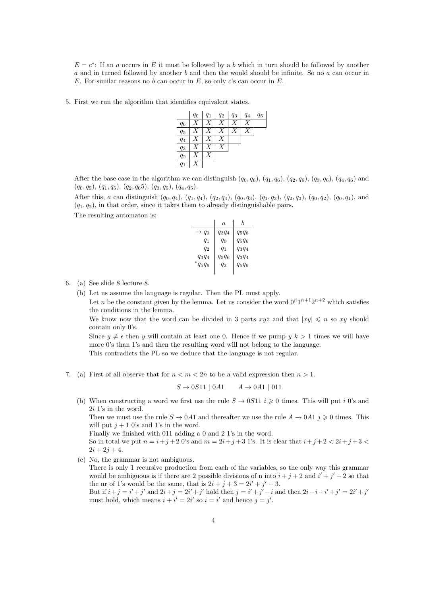$E = c^*$ : If an *a* occurs in *E* it must be followed by a *b* which in turn should be followed by another *a* and in turned followed by another *b* and then the would should be infinite. So no *a* can occur in *E*. For similar reasons no *b* can occur in *E*, so only *c*'s can occur in *E*.

5. First we run the algorithm that identifies equivalent states.

|       | $q_0$ | $q_1$ | $q_2$ | $q_3$ | $q_4$ | $q_5$ |
|-------|-------|-------|-------|-------|-------|-------|
| $q_6$ | X     | X     | Y     | Y     | Χ     |       |
| $q_5$ |       |       |       |       |       |       |
| $q_4$ | X     | X     |       |       |       |       |
| $q_3$ |       |       |       |       |       |       |
| $q_2$ |       | Y     |       |       |       |       |
| $q_1$ |       |       |       |       |       |       |

After the base case in the algorithm we can distinguish  $(q_0, q_6)$ ,  $(q_1, q_6)$ ,  $(q_2, q_6)$ ,  $(q_3, q_6)$ ,  $(q_4, q_6)$  and (*q*0*, q*5), (*q*1*, q*5), (*q*2*, q*65), (*q*3*, q*5), (*q*4*, q*5).

After this, a can distinguish  $(q_0, q_4)$ ,  $(q_1, q_4)$ ,  $(q_2, q_4)$ ,  $(q_0, q_3)$ ,  $(q_1, q_3)$ ,  $(q_2, q_3)$ ,  $(q_0, q_2)$ ,  $(q_0, q_1)$ , and  $(q_1, q_2)$ , in that order, since it takes them to already distinguishable pairs.

The resulting automaton is:

|                        | $\alpha$ | h        |
|------------------------|----------|----------|
| $q_0$<br>$\rightarrow$ | $q_3q_4$ | $q_5q_6$ |
| $q_1$                  | $q_0$    | $q_5q_6$ |
| $q_2$                  | $q_1$    | 9394     |
| $q_3q_4$               | $q_5q_6$ | $q_3q_4$ |
| *<br>$q_5q_6$          | $q_2$    | $q_5q_6$ |
|                        |          |          |

- 6. (a) See slide 8 lecture 8.
	- (b) Let us assume the language is regular. Then the PL must apply. Let *n* be the constant given by the lemma. Let us consider the word  $0^n1^{n+1}2^{n+2}$  which satisfies the conditions in the lemma.

We know now that the word can be divided in 3 parts  $xyz$  and that  $|xy| \leq n$  so  $xy$  should contain only 0's.

Since  $y \neq \epsilon$  then *y* will contain at least one 0. Hence if we pump  $y \leq k$  1 times we will have more 0's than 1's and then the resulting word will not belong to the language.

This contradicts the PL so we deduce that the language is not regular.

7. (a) First of all observe that for  $n < m < 2n$  to be a valid expression then  $n > 1$ .

$$
S \to 0S11 \mid 0A1 \qquad A \to 0A1 \mid 011
$$

(b) When constructing a word we first use the rule  $S \to 0S11$   $i \geq 0$  times. This will put *i* 0's and 2*i* 1's in the word.

Then we must use the rule  $S \to 0A1$  and thereafter we use the rule  $A \to 0A1$   $j \geqslant 0$  times. This will put  $j + 1$  0's and 1's in the word.

Finally we finished with 011 adding a 0 and 2 1's in the word.

So in total we put  $n = i + j + 2$  0's and  $m = 2i + j + 3$  1's. It is clear that  $i + j + 2 < 2i + j + 3 <$  $2i + 2j + 4.$ 

(c) No, the grammar is not ambiguous.

There is only 1 recursive production from each of the variables, so the only way this grammar would be ambiguous is if there are 2 possible divisions of n into  $i + j + 2$  and  $i' + j' + 2$  so that the nr of 1's would be the same, that is  $2i + j + 3 = 2i' + j' + 3$ .

But if  $i + j = i' + j'$  and  $2i + j = 2i' + j'$  hold then  $j = i' + j' - i$  and then  $2i - i + i' + j' = 2i' + j'$ must hold, which means  $i + i' = 2i'$  so  $i = i'$  and hence  $j = j'$ .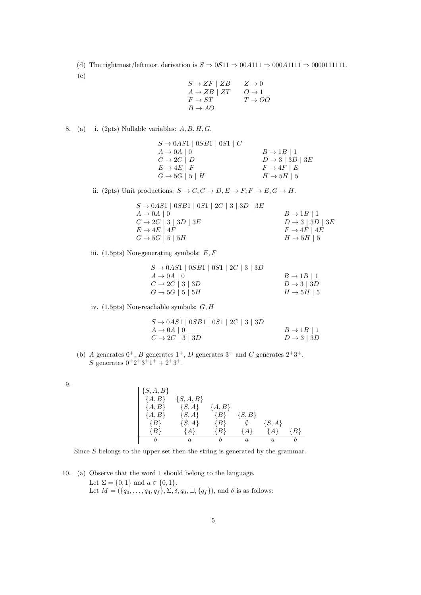(d) The rightmost/leftmost derivation is  $S \Rightarrow 0S11 \Rightarrow 00A111 \Rightarrow 000A1111 \Rightarrow 0000111111$ . (e)

$$
S \rightarrow ZF | ZB \nA \rightarrow ZB | ZT \nC \rightarrow 1\nF \rightarrow ST\nT \rightarrow OO\nB \rightarrow AO
$$

8. (a) i. (2pts) Nullable variables: *A, B, H, G*.

| $S \rightarrow 0AS1$   $0SB1$   $0S1$   $C$ |                             |
|---------------------------------------------|-----------------------------|
| $A \rightarrow 0A \mid 0$                   | $B\to 1B\mid 1$             |
| $C\rightarrow 2C \mid D$                    | $D \rightarrow 3   3D   3E$ |
| $E \rightarrow 4E \mid F$                   | $F \to 4F \mid E$           |
| $G \rightarrow 5G \mid 5 \mid H$            | $H \rightarrow 5H$   5      |

ii. (2pts) Unit productions:  $S \to C$ ,  $C \to D$ ,  $E \to F$ ,  $F \to E$ ,  $G \to H$ .

iii. (1.5pts) Non-generating symbols: *E,F*

| $S \rightarrow 0AS1$   $0SB1$   $0S1$   $2C$   3   $3D$ |                           |
|---------------------------------------------------------|---------------------------|
| $A \rightarrow 0A \mid 0$                               | $B\to 1B\mid 1$           |
| $C\rightarrow 2C$   3   3D                              | $D \rightarrow 3 \mid 3D$ |
| $G \rightarrow 5G$   $5$   $5H$                         | $H \rightarrow 5H$   5    |
|                                                         |                           |

iv. (1.5pts) Non-reachable symbols: *G, H*

$$
S \rightarrow 0AS1 \mid 0SB1 \mid 0S1 \mid 2C \mid 3 \mid 3D
$$
  
\n
$$
A \rightarrow 0A \mid 0
$$
  
\n
$$
C \rightarrow 2C \mid 3 \mid 3D
$$
  
\n
$$
B \rightarrow 1B \mid 1
$$
  
\n
$$
D \rightarrow 3 \mid 3D
$$

(b) *A* generates  $0^+$ , *B* generates  $1^+$ , *D* generates  $3^+$  and *C* generates  $2^+3^+$ . *S* generates  $0+2+3+1+2+3+$ .

9.

$$
\begin{array}{|l|lll} \hline \{S,A,B\} & & \\ \{A,B\} & \{S,A,B\} & \\ \{A,B\} & \{S,A\} & \{A,B\} & \\ \{A,B\} & \{S,A\} & \{B\} & \{S,B\} & \\ \{B\} & \{S,A\} & \{B\} & \emptyset & \{S,A\} & \\ \hline \{B\} & \{A\} & \{B\} & \{A\} & \{A\} & \{B\} \\ \hline b & a & b & a & a & b \\\hline \end{array}
$$

Since *S* belongs to the upper set then the string is generated by the grammar.

10. (a) Observe that the word 1 should belong to the language. Let  $\Sigma = \{0, 1\}$  and  $a \in \{0, 1\}$ . Let  $M = (\{q_0, \ldots, q_4, q_f\}, \Sigma, \delta, q_0, \Box, \{q_f\})$ , and  $\delta$  is as follows: